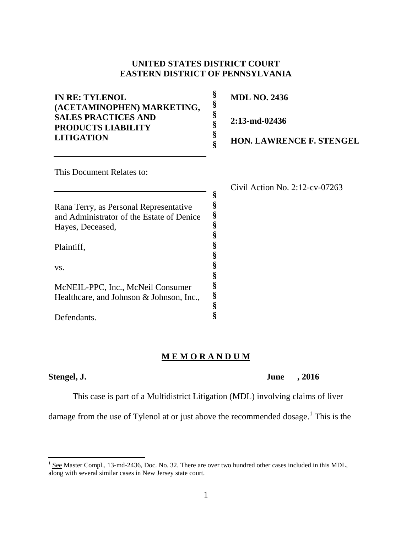#### **UNITED STATES DISTRICT COURT EASTERN DISTRICT OF PENNSYLVANIA**

| <b>IN RE: TYLENOL</b><br>(ACETAMINOPHEN) MARKETING,<br><b>SALES PRACTICES AND</b><br><b>PRODUCTS LIABILITY</b><br><b>LITIGATION</b> |   | <b>MDL NO. 2436</b>               |
|-------------------------------------------------------------------------------------------------------------------------------------|---|-----------------------------------|
|                                                                                                                                     |   | $2:13$ -md-02436                  |
|                                                                                                                                     |   | <b>HON. LAWRENCE F. STENGEL</b>   |
| This Document Relates to:                                                                                                           |   |                                   |
|                                                                                                                                     |   | Civil Action No. $2:12$ -cv-07263 |
| Rana Terry, as Personal Representative                                                                                              | § |                                   |
| and Administrator of the Estate of Denice                                                                                           |   |                                   |
| Hayes, Deceased,                                                                                                                    |   |                                   |

**§ § § § § § § § §**

#### **M E M O R A N D U M**

 $\overline{\phantom{a}}$ 

Plaintiff,

Defendants.

McNEIL-PPC, Inc., McNeil Consumer Healthcare, and Johnson & Johnson, Inc.,

vs.

This case is part of a Multidistrict Litigation (MDL) involving claims of liver

damage from the use of Tylenol at or just above the recommended dosage.<sup>1</sup> This is the

**Stengel, J. June , 2016**

 $1$  See Master Compl., 13-md-2436, Doc. No. 32. There are over two hundred other cases included in this MDL, along with several similar cases in New Jersey state court.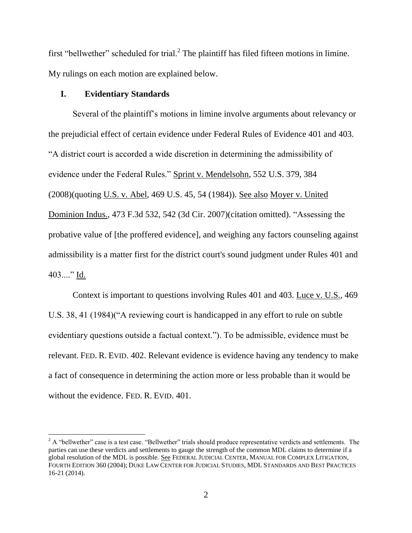first "bellwether" scheduled for trial.<sup>2</sup> The plaintiff has filed fifteen motions in limine. My rulings on each motion are explained below.

#### **I. Evidentiary Standards**

l

Several of the plaintiff's motions in limine involve arguments about relevancy or the prejudicial effect of certain evidence under Federal Rules of Evidence 401 and 403. "A district court is accorded a wide discretion in determining the admissibility of evidence under the Federal Rules." Sprint v. Mendelsohn, 552 U.S. 379, 384 (2008)(quoting U.S. v. Abel, 469 U.S. 45, 54 (1984)). See also Moyer v. United Dominion Indus., 473 F.3d 532, 542 (3d Cir. 2007)(citation omitted). "Assessing the probative value of [the proffered evidence], and weighing any factors counseling against admissibility is a matter first for the district court's sound judgment under Rules 401 and 403...." Id.

Context is important to questions involving Rules 401 and 403. Luce v. U.S., 469 U.S. 38, 41 (1984)("A reviewing court is handicapped in any effort to rule on subtle evidentiary questions outside a factual context."). To be admissible, evidence must be relevant. FED. R. EVID. 402. Relevant evidence is evidence having any tendency to make a fact of consequence in determining the action more or less probable than it would be without the evidence. FED. R. EVID. 401.

 $2$  A "bellwether" case is a test case. "Bellwether" trials should produce representative verdicts and settlements. The parties can use these verdicts and settlements to gauge the strength of the common MDL claims to determine if a global resolution of the MDL is possible. See FEDERAL JUDICIAL CENTER, MANUAL FOR COMPLEX LITIGATION, FOURTH EDITION 360 (2004); DUKE LAW CENTER FOR JUDICIAL STUDIES, MDL STANDARDS AND BEST PRACTICES 16-21 (2014).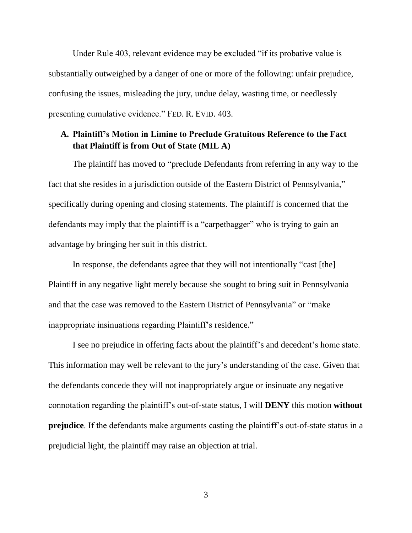Under Rule 403, relevant evidence may be excluded "if its probative value is substantially outweighed by a danger of one or more of the following: unfair prejudice, confusing the issues, misleading the jury, undue delay, wasting time, or needlessly presenting cumulative evidence." FED. R. EVID. 403.

#### **A. Plaintiff's Motion in Limine to Preclude Gratuitous Reference to the Fact that Plaintiff is from Out of State (MIL A)**

The plaintiff has moved to "preclude Defendants from referring in any way to the fact that she resides in a jurisdiction outside of the Eastern District of Pennsylvania," specifically during opening and closing statements. The plaintiff is concerned that the defendants may imply that the plaintiff is a "carpetbagger" who is trying to gain an advantage by bringing her suit in this district.

In response, the defendants agree that they will not intentionally "cast [the] Plaintiff in any negative light merely because she sought to bring suit in Pennsylvania and that the case was removed to the Eastern District of Pennsylvania" or "make inappropriate insinuations regarding Plaintiff's residence."

I see no prejudice in offering facts about the plaintiff's and decedent's home state. This information may well be relevant to the jury's understanding of the case. Given that the defendants concede they will not inappropriately argue or insinuate any negative connotation regarding the plaintiff's out-of-state status, I will **DENY** this motion **without prejudice**. If the defendants make arguments casting the plaintiff's out-of-state status in a prejudicial light, the plaintiff may raise an objection at trial.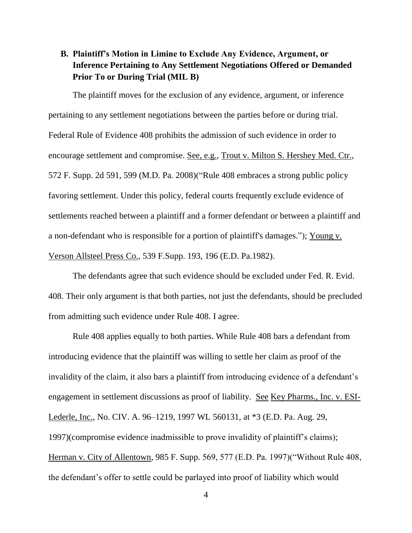## **B. Plaintiff's Motion in Limine to Exclude Any Evidence, Argument, or Inference Pertaining to Any Settlement Negotiations Offered or Demanded Prior To or During Trial (MIL B)**

The plaintiff moves for the exclusion of any evidence, argument, or inference pertaining to any settlement negotiations between the parties before or during trial. Federal Rule of Evidence 408 prohibits the admission of such evidence in order to encourage settlement and compromise. See, e.g., Trout v. Milton S. Hershey Med. Ctr., 572 F. Supp. 2d 591, 599 (M.D. Pa. 2008)("Rule 408 embraces a strong public policy favoring settlement. Under this policy, federal courts frequently exclude evidence of settlements reached between a plaintiff and a former defendant or between a plaintiff and a non-defendant who is responsible for a portion of plaintiff's damages."); Young v. Verson Allsteel Press Co., 539 F.Supp. 193, 196 (E.D. Pa.1982).

The defendants agree that such evidence should be excluded under Fed. R. Evid. 408. Their only argument is that both parties, not just the defendants, should be precluded from admitting such evidence under Rule 408. I agree.

Rule 408 applies equally to both parties. While Rule 408 bars a defendant from introducing evidence that the plaintiff was willing to settle her claim as proof of the invalidity of the claim, it also bars a plaintiff from introducing evidence of a defendant's engagement in settlement discussions as proof of liability. See Key Pharms., Inc. v. ESI-Lederle, Inc., No. CIV. A. 96–1219, 1997 WL 560131, at \*3 (E.D. Pa. Aug. 29, 1997)(compromise evidence inadmissible to prove invalidity of plaintiff's claims); Herman v. City of Allentown, 985 F. Supp. 569, 577 (E.D. Pa. 1997)("Without Rule 408, the defendant's offer to settle could be parlayed into proof of liability which would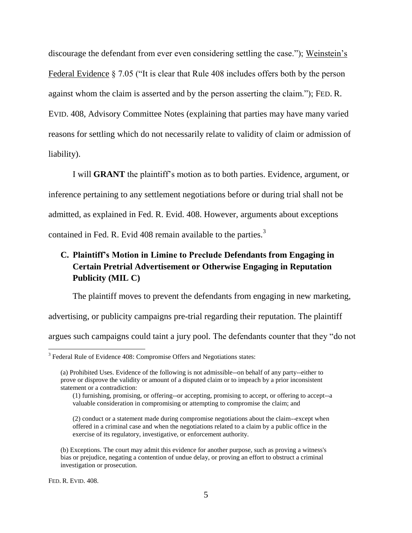discourage the defendant from ever even considering settling the case."); Weinstein's Federal Evidence § 7.05 ("It is clear that Rule 408 includes offers both by the person against whom the claim is asserted and by the person asserting the claim."); FED. R. EVID. 408, Advisory Committee Notes (explaining that parties may have many varied reasons for settling which do not necessarily relate to validity of claim or admission of liability).

I will **GRANT** the plaintiff's motion as to both parties. Evidence, argument, or inference pertaining to any settlement negotiations before or during trial shall not be admitted, as explained in Fed. R. Evid. 408. However, arguments about exceptions contained in Fed. R. Evid 408 remain available to the parties.<sup>3</sup>

# **C. Plaintiff's Motion in Limine to Preclude Defendants from Engaging in Certain Pretrial Advertisement or Otherwise Engaging in Reputation Publicity (MIL C)**

The plaintiff moves to prevent the defendants from engaging in new marketing, advertising, or publicity campaigns pre-trial regarding their reputation. The plaintiff argues such campaigns could taint a jury pool. The defendants counter that they "do not

<sup>&</sup>lt;sup>3</sup><br><sup>3</sup> Federal Rule of Evidence 408: Compromise Offers and Negotiations states:

<sup>(</sup>a) Prohibited Uses. Evidence of the following is not admissible--on behalf of any party--either to prove or disprove the validity or amount of a disputed claim or to impeach by a prior inconsistent statement or a contradiction:

<sup>(1)</sup> furnishing, promising, or offering--or accepting, promising to accept, or offering to accept--a valuable consideration in compromising or attempting to compromise the claim; and

<sup>(2)</sup> conduct or a statement made during compromise negotiations about the claim--except when offered in a criminal case and when the negotiations related to a claim by a public office in the exercise of its regulatory, investigative, or enforcement authority.

<sup>(</sup>b) Exceptions. The court may admit this evidence for another purpose, such as proving a witness's bias or prejudice, negating a contention of undue delay, or proving an effort to obstruct a criminal investigation or prosecution.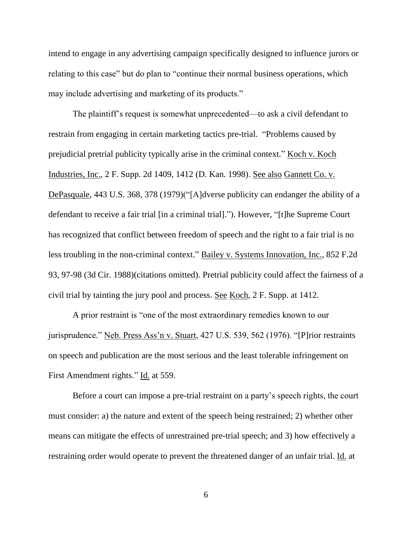intend to engage in any advertising campaign specifically designed to influence jurors or relating to this case" but do plan to "continue their normal business operations, which may include advertising and marketing of its products."

The plaintiff's request is somewhat unprecedented—to ask a civil defendant to restrain from engaging in certain marketing tactics pre-trial. "Problems caused by prejudicial pretrial publicity typically arise in the criminal context." Koch v. Koch Industries, Inc., 2 F. Supp. 2d 1409, 1412 (D. Kan. 1998). See also Gannett Co. v. DePasquale, 443 U.S. 368, 378 (1979)("[A]dverse publicity can endanger the ability of a defendant to receive a fair trial [in a criminal trial]."). However, "[t]he Supreme Court has recognized that conflict between freedom of speech and the right to a fair trial is no less troubling in the non-criminal context." Bailey v. Systems Innovation, Inc., 852 F.2d 93, 97-98 (3d Cir. 1988)(citations omitted). Pretrial publicity could affect the fairness of a civil trial by tainting the jury pool and process. See Koch, 2 F. Supp. at 1412.

A prior restraint is "one of the most extraordinary remedies known to our jurisprudence." Neb. Press Ass'n v. Stuart, 427 U.S. 539, 562 (1976). "[P]rior restraints on speech and publication are the most serious and the least tolerable infringement on First Amendment rights." Id. at 559.

Before a court can impose a pre-trial restraint on a party's speech rights, the court must consider: a) the nature and extent of the speech being restrained; 2) whether other means can mitigate the effects of unrestrained pre-trial speech; and 3) how effectively a restraining order would operate to prevent the threatened danger of an unfair trial. Id. at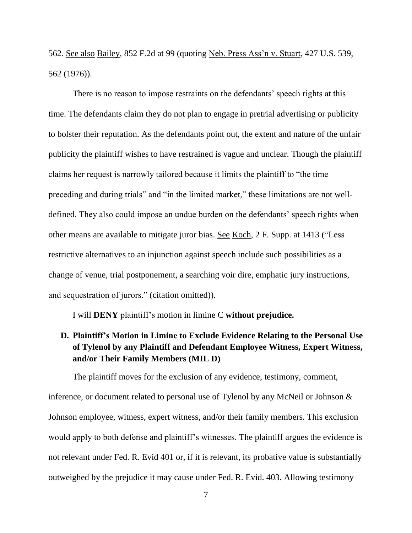562. See also Bailey, 852 F.2d at 99 (quoting Neb. Press Ass'n v. Stuart, 427 U.S. 539, 562 (1976)).

There is no reason to impose restraints on the defendants' speech rights at this time. The defendants claim they do not plan to engage in pretrial advertising or publicity to bolster their reputation. As the defendants point out, the extent and nature of the unfair publicity the plaintiff wishes to have restrained is vague and unclear. Though the plaintiff claims her request is narrowly tailored because it limits the plaintiff to "the time preceding and during trials" and "in the limited market," these limitations are not welldefined. They also could impose an undue burden on the defendants' speech rights when other means are available to mitigate juror bias. See Koch, 2 F. Supp. at 1413 ("Less restrictive alternatives to an injunction against speech include such possibilities as a change of venue, trial postponement, a searching voir dire, emphatic jury instructions, and sequestration of jurors." (citation omitted)).

I will **DENY** plaintiff's motion in limine C **without prejudice.**

# **D. Plaintiff's Motion in Limine to Exclude Evidence Relating to the Personal Use of Tylenol by any Plaintiff and Defendant Employee Witness, Expert Witness, and/or Their Family Members (MIL D)**

The plaintiff moves for the exclusion of any evidence, testimony, comment, inference, or document related to personal use of Tylenol by any McNeil or Johnson & Johnson employee, witness, expert witness, and/or their family members. This exclusion would apply to both defense and plaintiff's witnesses. The plaintiff argues the evidence is not relevant under Fed. R. Evid 401 or, if it is relevant, its probative value is substantially outweighed by the prejudice it may cause under Fed. R. Evid. 403. Allowing testimony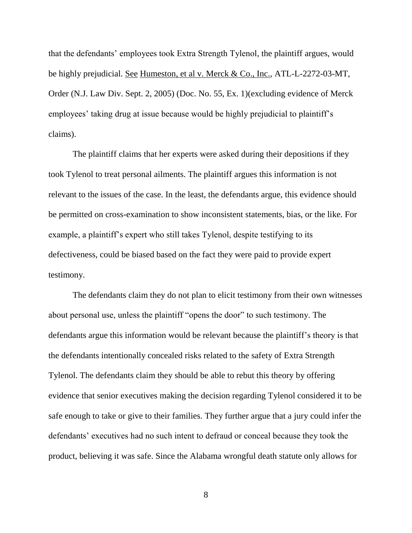that the defendants' employees took Extra Strength Tylenol, the plaintiff argues, would be highly prejudicial. See Humeston, et al v. Merck & Co., Inc., ATL-L-2272-03-MT, Order (N.J. Law Div. Sept. 2, 2005) (Doc. No. 55, Ex. 1)(excluding evidence of Merck employees' taking drug at issue because would be highly prejudicial to plaintiff's claims).

The plaintiff claims that her experts were asked during their depositions if they took Tylenol to treat personal ailments. The plaintiff argues this information is not relevant to the issues of the case. In the least, the defendants argue, this evidence should be permitted on cross-examination to show inconsistent statements, bias, or the like. For example, a plaintiff's expert who still takes Tylenol, despite testifying to its defectiveness, could be biased based on the fact they were paid to provide expert testimony.

The defendants claim they do not plan to elicit testimony from their own witnesses about personal use, unless the plaintiff "opens the door" to such testimony. The defendants argue this information would be relevant because the plaintiff's theory is that the defendants intentionally concealed risks related to the safety of Extra Strength Tylenol. The defendants claim they should be able to rebut this theory by offering evidence that senior executives making the decision regarding Tylenol considered it to be safe enough to take or give to their families. They further argue that a jury could infer the defendants' executives had no such intent to defraud or conceal because they took the product, believing it was safe. Since the Alabama wrongful death statute only allows for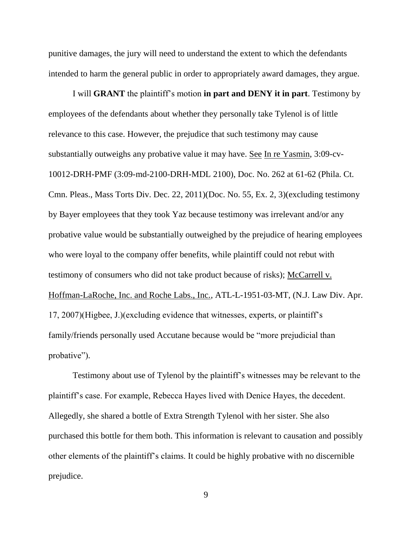punitive damages, the jury will need to understand the extent to which the defendants intended to harm the general public in order to appropriately award damages, they argue.

I will **GRANT** the plaintiff's motion **in part and DENY it in part**. Testimony by employees of the defendants about whether they personally take Tylenol is of little relevance to this case. However, the prejudice that such testimony may cause substantially outweighs any probative value it may have. See In re Yasmin, 3:09-cv-10012-DRH-PMF (3:09-md-2100-DRH-MDL 2100), Doc. No. 262 at 61-62 (Phila. Ct. Cmn. Pleas., Mass Torts Div. Dec. 22, 2011)(Doc. No. 55, Ex. 2, 3)(excluding testimony by Bayer employees that they took Yaz because testimony was irrelevant and/or any probative value would be substantially outweighed by the prejudice of hearing employees who were loyal to the company offer benefits, while plaintiff could not rebut with testimony of consumers who did not take product because of risks); McCarrell v. Hoffman-LaRoche, Inc. and Roche Labs., Inc., ATL-L-1951-03-MT, (N.J. Law Div. Apr. 17, 2007)(Higbee, J.)(excluding evidence that witnesses, experts, or plaintiff's family/friends personally used Accutane because would be "more prejudicial than probative").

Testimony about use of Tylenol by the plaintiff's witnesses may be relevant to the plaintiff's case. For example, Rebecca Hayes lived with Denice Hayes, the decedent. Allegedly, she shared a bottle of Extra Strength Tylenol with her sister. She also purchased this bottle for them both. This information is relevant to causation and possibly other elements of the plaintiff's claims. It could be highly probative with no discernible prejudice.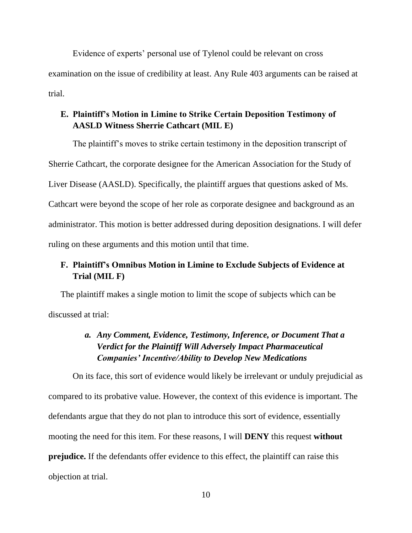Evidence of experts' personal use of Tylenol could be relevant on cross examination on the issue of credibility at least. Any Rule 403 arguments can be raised at trial.

#### **E. Plaintiff's Motion in Limine to Strike Certain Deposition Testimony of AASLD Witness Sherrie Cathcart (MIL E)**

The plaintiff's moves to strike certain testimony in the deposition transcript of Sherrie Cathcart, the corporate designee for the American Association for the Study of Liver Disease (AASLD). Specifically, the plaintiff argues that questions asked of Ms. Cathcart were beyond the scope of her role as corporate designee and background as an administrator. This motion is better addressed during deposition designations. I will defer ruling on these arguments and this motion until that time.

## **F. Plaintiff's Omnibus Motion in Limine to Exclude Subjects of Evidence at Trial (MIL F)**

The plaintiff makes a single motion to limit the scope of subjects which can be discussed at trial:

# *a. Any Comment, Evidence, Testimony, Inference, or Document That a Verdict for the Plaintiff Will Adversely Impact Pharmaceutical Companies' Incentive/Ability to Develop New Medications*

On its face, this sort of evidence would likely be irrelevant or unduly prejudicial as compared to its probative value. However, the context of this evidence is important. The defendants argue that they do not plan to introduce this sort of evidence, essentially mooting the need for this item. For these reasons, I will **DENY** this request **without prejudice.** If the defendants offer evidence to this effect, the plaintiff can raise this objection at trial.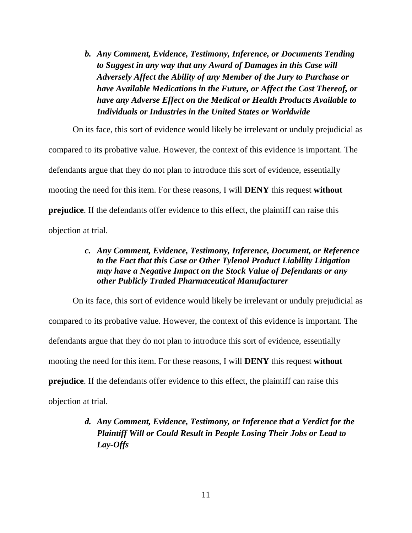*b. Any Comment, Evidence, Testimony, Inference, or Documents Tending to Suggest in any way that any Award of Damages in this Case will Adversely Affect the Ability of any Member of the Jury to Purchase or have Available Medications in the Future, or Affect the Cost Thereof, or have any Adverse Effect on the Medical or Health Products Available to Individuals or Industries in the United States or Worldwide*

On its face, this sort of evidence would likely be irrelevant or unduly prejudicial as compared to its probative value. However, the context of this evidence is important. The defendants argue that they do not plan to introduce this sort of evidence, essentially mooting the need for this item. For these reasons, I will **DENY** this request **without prejudice**. If the defendants offer evidence to this effect, the plaintiff can raise this objection at trial.

#### *c. Any Comment, Evidence, Testimony, Inference, Document, or Reference to the Fact that this Case or Other Tylenol Product Liability Litigation may have a Negative Impact on the Stock Value of Defendants or any other Publicly Traded Pharmaceutical Manufacturer*

On its face, this sort of evidence would likely be irrelevant or unduly prejudicial as compared to its probative value. However, the context of this evidence is important. The defendants argue that they do not plan to introduce this sort of evidence, essentially mooting the need for this item. For these reasons, I will **DENY** this request **without prejudice**. If the defendants offer evidence to this effect, the plaintiff can raise this objection at trial.

# *d. Any Comment, Evidence, Testimony, or Inference that a Verdict for the Plaintiff Will or Could Result in People Losing Their Jobs or Lead to Lay-Offs*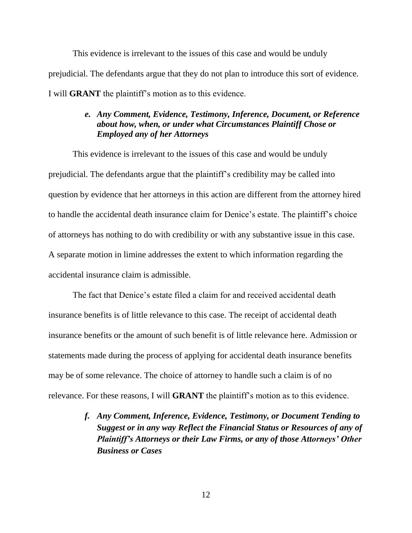This evidence is irrelevant to the issues of this case and would be unduly prejudicial. The defendants argue that they do not plan to introduce this sort of evidence. I will **GRANT** the plaintiff's motion as to this evidence.

#### *e. Any Comment, Evidence, Testimony, Inference, Document, or Reference about how, when, or under what Circumstances Plaintiff Chose or Employed any of her Attorneys*

This evidence is irrelevant to the issues of this case and would be unduly prejudicial. The defendants argue that the plaintiff's credibility may be called into question by evidence that her attorneys in this action are different from the attorney hired to handle the accidental death insurance claim for Denice's estate. The plaintiff's choice of attorneys has nothing to do with credibility or with any substantive issue in this case. A separate motion in limine addresses the extent to which information regarding the accidental insurance claim is admissible.

The fact that Denice's estate filed a claim for and received accidental death insurance benefits is of little relevance to this case. The receipt of accidental death insurance benefits or the amount of such benefit is of little relevance here. Admission or statements made during the process of applying for accidental death insurance benefits may be of some relevance. The choice of attorney to handle such a claim is of no relevance. For these reasons, I will **GRANT** the plaintiff's motion as to this evidence.

> *f. Any Comment, Inference, Evidence, Testimony, or Document Tending to Suggest or in any way Reflect the Financial Status or Resources of any of Plaintiff's Attorneys or their Law Firms, or any of those Attorneys' Other Business or Cases*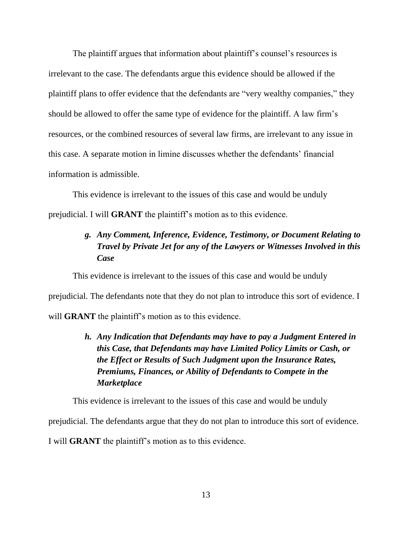The plaintiff argues that information about plaintiff's counsel's resources is irrelevant to the case. The defendants argue this evidence should be allowed if the plaintiff plans to offer evidence that the defendants are "very wealthy companies," they should be allowed to offer the same type of evidence for the plaintiff. A law firm's resources, or the combined resources of several law firms, are irrelevant to any issue in this case. A separate motion in limine discusses whether the defendants' financial information is admissible.

This evidence is irrelevant to the issues of this case and would be unduly prejudicial. I will **GRANT** the plaintiff's motion as to this evidence.

## *g. Any Comment, Inference, Evidence, Testimony, or Document Relating to Travel by Private Jet for any of the Lawyers or Witnesses Involved in this Case*

This evidence is irrelevant to the issues of this case and would be unduly prejudicial. The defendants note that they do not plan to introduce this sort of evidence. I will **GRANT** the plaintiff's motion as to this evidence.

# *h. Any Indication that Defendants may have to pay a Judgment Entered in this Case, that Defendants may have Limited Policy Limits or Cash, or the Effect or Results of Such Judgment upon the Insurance Rates, Premiums, Finances, or Ability of Defendants to Compete in the Marketplace*

This evidence is irrelevant to the issues of this case and would be unduly

prejudicial. The defendants argue that they do not plan to introduce this sort of evidence.

I will **GRANT** the plaintiff's motion as to this evidence.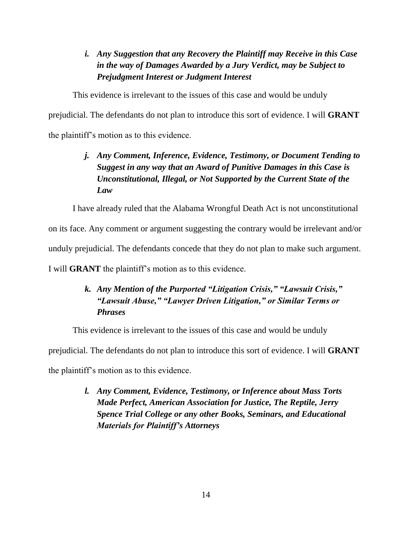# *i. Any Suggestion that any Recovery the Plaintiff may Receive in this Case in the way of Damages Awarded by a Jury Verdict, may be Subject to Prejudgment Interest or Judgment Interest*

This evidence is irrelevant to the issues of this case and would be unduly

prejudicial. The defendants do not plan to introduce this sort of evidence. I will **GRANT** the plaintiff's motion as to this evidence.

# *j. Any Comment, Inference, Evidence, Testimony, or Document Tending to Suggest in any way that an Award of Punitive Damages in this Case is Unconstitutional, Illegal, or Not Supported by the Current State of the Law*

I have already ruled that the Alabama Wrongful Death Act is not unconstitutional

on its face. Any comment or argument suggesting the contrary would be irrelevant and/or

unduly prejudicial. The defendants concede that they do not plan to make such argument.

I will **GRANT** the plaintiff's motion as to this evidence.

# *k. Any Mention of the Purported "Litigation Crisis," "Lawsuit Crisis," "Lawsuit Abuse," "Lawyer Driven Litigation," or Similar Terms or Phrases*

This evidence is irrelevant to the issues of this case and would be unduly

prejudicial. The defendants do not plan to introduce this sort of evidence. I will **GRANT**

the plaintiff's motion as to this evidence.

*l. Any Comment, Evidence, Testimony, or Inference about Mass Torts Made Perfect, American Association for Justice, The Reptile, Jerry Spence Trial College or any other Books, Seminars, and Educational Materials for Plaintiff's Attorneys*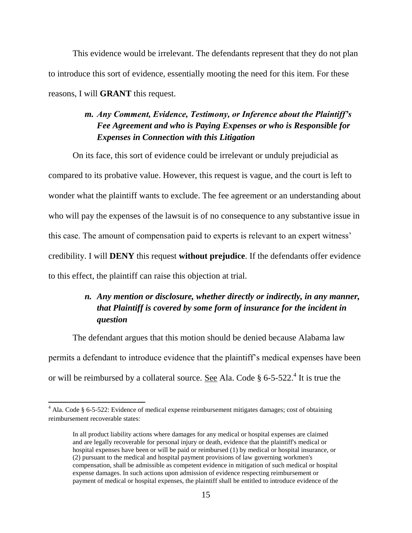This evidence would be irrelevant. The defendants represent that they do not plan to introduce this sort of evidence, essentially mooting the need for this item. For these reasons, I will **GRANT** this request.

## *m. Any Comment, Evidence, Testimony, or Inference about the Plaintiff's Fee Agreement and who is Paying Expenses or who is Responsible for Expenses in Connection with this Litigation*

On its face, this sort of evidence could be irrelevant or unduly prejudicial as compared to its probative value. However, this request is vague, and the court is left to wonder what the plaintiff wants to exclude. The fee agreement or an understanding about who will pay the expenses of the lawsuit is of no consequence to any substantive issue in this case. The amount of compensation paid to experts is relevant to an expert witness' credibility. I will **DENY** this request **without prejudice**. If the defendants offer evidence to this effect, the plaintiff can raise this objection at trial.

# *n. Any mention or disclosure, whether directly or indirectly, in any manner, that Plaintiff is covered by some form of insurance for the incident in question*

The defendant argues that this motion should be denied because Alabama law permits a defendant to introduce evidence that the plaintiff's medical expenses have been or will be reimbursed by a collateral source. <u>See</u> Ala. Code  $\S 6$ -5-522.<sup>4</sup> It is true the

 $\overline{\phantom{a}}$ 

<sup>&</sup>lt;sup>4</sup> Ala. Code § 6-5-522: Evidence of medical expense reimbursement mitigates damages; cost of obtaining reimbursement recoverable states:

In all product liability actions where damages for any medical or hospital expenses are claimed and are legally recoverable for personal injury or death, evidence that the plaintiff's medical or hospital expenses have been or will be paid or reimbursed (1) by medical or hospital insurance, or (2) pursuant to the medical and hospital payment provisions of law governing workmen's compensation, shall be admissible as competent evidence in mitigation of such medical or hospital expense damages. In such actions upon admission of evidence respecting reimbursement or payment of medical or hospital expenses, the plaintiff shall be entitled to introduce evidence of the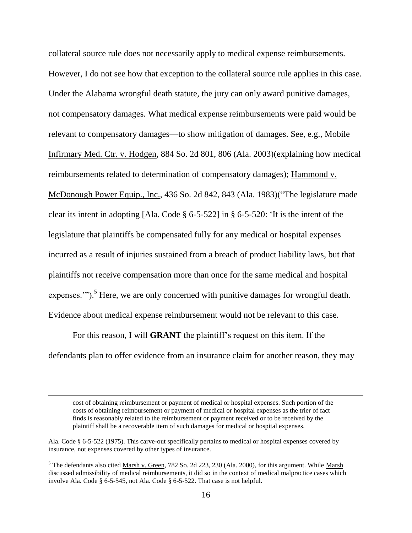collateral source rule does not necessarily apply to medical expense reimbursements. However, I do not see how that exception to the collateral source rule applies in this case. Under the Alabama wrongful death statute, the jury can only award punitive damages, not compensatory damages. What medical expense reimbursements were paid would be relevant to compensatory damages—to show mitigation of damages. See, e.g., Mobile Infirmary Med. Ctr. v. Hodgen, 884 So. 2d 801, 806 (Ala. 2003)(explaining how medical reimbursements related to determination of compensatory damages); Hammond v. McDonough Power Equip., Inc., 436 So. 2d 842, 843 (Ala. 1983)("The legislature made clear its intent in adopting [Ala. Code § 6-5-522] in § 6-5-520: 'It is the intent of the legislature that plaintiffs be compensated fully for any medical or hospital expenses incurred as a result of injuries sustained from a breach of product liability laws, but that plaintiffs not receive compensation more than once for the same medical and hospital expenses."").<sup>5</sup> Here, we are only concerned with punitive damages for wrongful death. Evidence about medical expense reimbursement would not be relevant to this case.

For this reason, I will **GRANT** the plaintiff's request on this item. If the defendants plan to offer evidence from an insurance claim for another reason, they may

cost of obtaining reimbursement or payment of medical or hospital expenses. Such portion of the costs of obtaining reimbursement or payment of medical or hospital expenses as the trier of fact finds is reasonably related to the reimbursement or payment received or to be received by the plaintiff shall be a recoverable item of such damages for medical or hospital expenses.

 $\overline{a}$ 

Ala. Code § 6-5-522 (1975). This carve-out specifically pertains to medical or hospital expenses covered by insurance, not expenses covered by other types of insurance.

 $<sup>5</sup>$  The defendants also cited Marsh v. Green, 782 So. 2d 223, 230 (Ala. 2000), for this argument. While Marsh</sup> discussed admissibility of medical reimbursements, it did so in the context of medical malpractice cases which involve Ala. Code § 6-5-545, not Ala. Code § 6-5-522. That case is not helpful.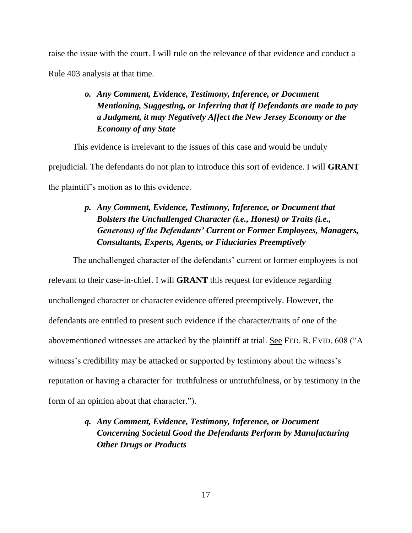raise the issue with the court. I will rule on the relevance of that evidence and conduct a Rule 403 analysis at that time.

# *o. Any Comment, Evidence, Testimony, Inference, or Document Mentioning, Suggesting, or Inferring that if Defendants are made to pay a Judgment, it may Negatively Affect the New Jersey Economy or the Economy of any State*

This evidence is irrelevant to the issues of this case and would be unduly prejudicial. The defendants do not plan to introduce this sort of evidence. I will **GRANT** the plaintiff's motion as to this evidence.

# *p. Any Comment, Evidence, Testimony, Inference, or Document that Bolsters the Unchallenged Character (i.e., Honest) or Traits (i.e., Generous) of the Defendants' Current or Former Employees, Managers, Consultants, Experts, Agents, or Fiduciaries Preemptively*

The unchallenged character of the defendants' current or former employees is not

relevant to their case-in-chief. I will **GRANT** this request for evidence regarding unchallenged character or character evidence offered preemptively. However, the defendants are entitled to present such evidence if the character/traits of one of the abovementioned witnesses are attacked by the plaintiff at trial. See FED. R. EVID. 608 ("A witness's credibility may be attacked or supported by testimony about the witness's reputation or having a character for truthfulness or untruthfulness, or by testimony in the form of an opinion about that character.").

# *q. Any Comment, Evidence, Testimony, Inference, or Document Concerning Societal Good the Defendants Perform by Manufacturing Other Drugs or Products*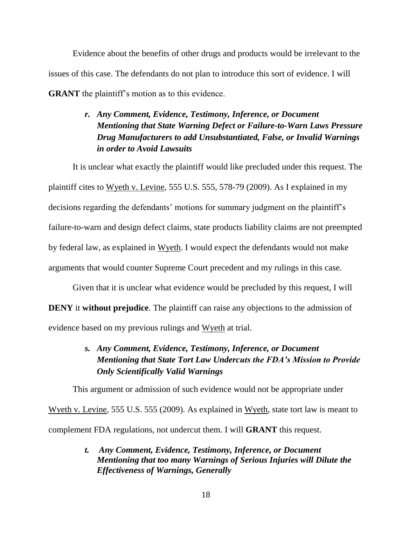Evidence about the benefits of other drugs and products would be irrelevant to the issues of this case. The defendants do not plan to introduce this sort of evidence. I will **GRANT** the plaintiff's motion as to this evidence.

# *r. Any Comment, Evidence, Testimony, Inference, or Document Mentioning that State Warning Defect or Failure-to-Warn Laws Pressure Drug Manufacturers to add Unsubstantiated, False, or Invalid Warnings in order to Avoid Lawsuits*

It is unclear what exactly the plaintiff would like precluded under this request. The plaintiff cites to Wyeth v. Levine, 555 U.S. 555, 578-79 (2009). As I explained in my decisions regarding the defendants' motions for summary judgment on the plaintiff's failure-to-warn and design defect claims, state products liability claims are not preempted by federal law, as explained in Wyeth. I would expect the defendants would not make arguments that would counter Supreme Court precedent and my rulings in this case.

Given that it is unclear what evidence would be precluded by this request, I will **DENY** it **without prejudice**. The plaintiff can raise any objections to the admission of evidence based on my previous rulings and Wyeth at trial.

# *s. Any Comment, Evidence, Testimony, Inference, or Document Mentioning that State Tort Law Undercuts the FDA's Mission to Provide Only Scientifically Valid Warnings*

This argument or admission of such evidence would not be appropriate under

Wyeth v. Levine, 555 U.S. 555 (2009). As explained in Wyeth, state tort law is meant to complement FDA regulations, not undercut them. I will **GRANT** this request.

> *t. Any Comment, Evidence, Testimony, Inference, or Document Mentioning that too many Warnings of Serious Injuries will Dilute the Effectiveness of Warnings, Generally*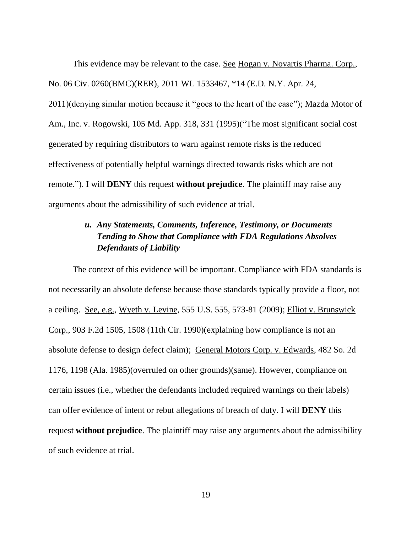This evidence may be relevant to the case. See Hogan v. Novartis Pharma. Corp., No. 06 Civ. 0260(BMC)(RER), 2011 WL 1533467, \*14 (E.D. N.Y. Apr. 24, 2011)(denying similar motion because it "goes to the heart of the case"); Mazda Motor of Am., Inc. v. Rogowski, 105 Md. App. 318, 331 (1995)("The most significant social cost generated by requiring distributors to warn against remote risks is the reduced effectiveness of potentially helpful warnings directed towards risks which are not remote."). I will **DENY** this request **without prejudice**. The plaintiff may raise any arguments about the admissibility of such evidence at trial.

## *u. Any Statements, Comments, Inference, Testimony, or Documents Tending to Show that Compliance with FDA Regulations Absolves Defendants of Liability*

The context of this evidence will be important. Compliance with FDA standards is not necessarily an absolute defense because those standards typically provide a floor, not a ceiling. See, e.g., Wyeth v. Levine, 555 U.S. 555, 573-81 (2009); Elliot v. Brunswick Corp., 903 F.2d 1505, 1508 (11th Cir. 1990)(explaining how compliance is not an absolute defense to design defect claim); General Motors Corp. v. Edwards, 482 So. 2d 1176, 1198 (Ala. 1985)(overruled on other grounds)(same). However, compliance on certain issues (i.e., whether the defendants included required warnings on their labels) can offer evidence of intent or rebut allegations of breach of duty. I will **DENY** this request **without prejudice**. The plaintiff may raise any arguments about the admissibility of such evidence at trial.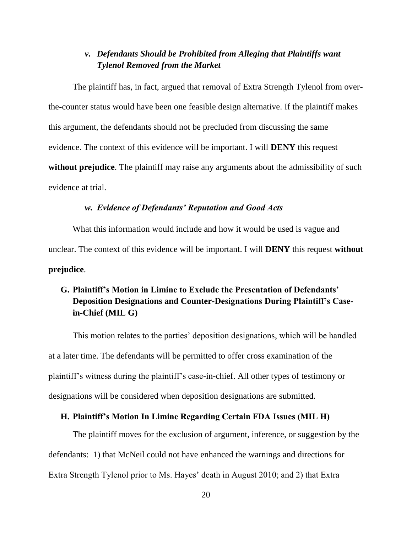#### *v. Defendants Should be Prohibited from Alleging that Plaintiffs want Tylenol Removed from the Market*

The plaintiff has, in fact, argued that removal of Extra Strength Tylenol from overthe-counter status would have been one feasible design alternative. If the plaintiff makes this argument, the defendants should not be precluded from discussing the same evidence. The context of this evidence will be important. I will **DENY** this request **without prejudice**. The plaintiff may raise any arguments about the admissibility of such evidence at trial.

#### *w. Evidence of Defendants' Reputation and Good Acts*

What this information would include and how it would be used is vague and unclear. The context of this evidence will be important. I will **DENY** this request **without prejudice**.

## **G. Plaintiff's Motion in Limine to Exclude the Presentation of Defendants' Deposition Designations and Counter-Designations During Plaintiff's Casein-Chief (MIL G)**

This motion relates to the parties' deposition designations, which will be handled at a later time. The defendants will be permitted to offer cross examination of the plaintiff's witness during the plaintiff's case-in-chief. All other types of testimony or designations will be considered when deposition designations are submitted.

#### **H. Plaintiff's Motion In Limine Regarding Certain FDA Issues (MIL H)**

The plaintiff moves for the exclusion of argument, inference, or suggestion by the defendants: 1) that McNeil could not have enhanced the warnings and directions for Extra Strength Tylenol prior to Ms. Hayes' death in August 2010; and 2) that Extra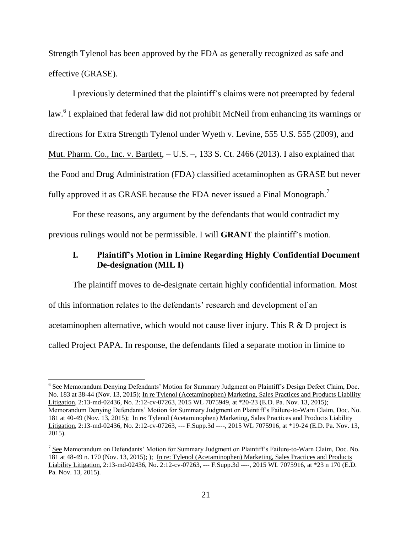Strength Tylenol has been approved by the FDA as generally recognized as safe and effective (GRASE).

I previously determined that the plaintiff's claims were not preempted by federal law.<sup>6</sup> I explained that federal law did not prohibit McNeil from enhancing its warnings or directions for Extra Strength Tylenol under Wyeth v. Levine, 555 U.S. 555 (2009), and Mut. Pharm. Co., Inc. v. Bartlett, – U.S. –, 133 S. Ct. 2466 (2013). I also explained that the Food and Drug Administration (FDA) classified acetaminophen as GRASE but never fully approved it as GRASE because the FDA never issued a Final Monograph.<sup>7</sup>

For these reasons, any argument by the defendants that would contradict my previous rulings would not be permissible. I will **GRANT** the plaintiff's motion.

#### **I. Plaintiff's Motion in Limine Regarding Highly Confidential Document De-designation (MIL I)**

The plaintiff moves to de-designate certain highly confidential information. Most of this information relates to the defendants' research and development of an acetaminophen alternative, which would not cause liver injury. This R & D project is called Project PAPA. In response, the defendants filed a separate motion in limine to

<sup>&</sup>lt;sup>6</sup> See Memorandum Denying Defendants' Motion for Summary Judgment on Plaintiff's Design Defect Claim, Doc. No. 183 at 38-44 (Nov. 13, 2015); [In re Tylenol \(Acetaminophen\) Marketing, Sales Practices and Products Liability](https://1.next.westlaw.com/Document/I78239b708c2b11e595f799cc3c3ba45b/View/FullText.html?listSource=Search&navigationPath=Search%2fv3%2fsearch%2fresults%2fnavigation%2fi0ad60405000001551238778bae284757%3fNav%3dCASE%26fragmentIdentifier%3dI78239b708c2b11e595f799cc3c3ba45b%26startIndex%3d1%26contextData%3d%2528sc.Search%2529%26transitionType%3dSearchItem&list=CASE&rank=1&listPageSource=5756c0e9641229b30cdbbfc99c6af3ef&originationContext=docHeader&contextData=(sc.Search)&transitionType=Document&needToInjectTerms=False&docSource=5ac44efabce041f19bcd1ea38d0f8d11)  [Litigation,](https://1.next.westlaw.com/Document/I78239b708c2b11e595f799cc3c3ba45b/View/FullText.html?listSource=Search&navigationPath=Search%2fv3%2fsearch%2fresults%2fnavigation%2fi0ad60405000001551238778bae284757%3fNav%3dCASE%26fragmentIdentifier%3dI78239b708c2b11e595f799cc3c3ba45b%26startIndex%3d1%26contextData%3d%2528sc.Search%2529%26transitionType%3dSearchItem&list=CASE&rank=1&listPageSource=5756c0e9641229b30cdbbfc99c6af3ef&originationContext=docHeader&contextData=(sc.Search)&transitionType=Document&needToInjectTerms=False&docSource=5ac44efabce041f19bcd1ea38d0f8d11) 2:13-md-02436, No. 2:12-cv-07263, 2015 WL 7075949, at \*20-23 (E.D. Pa. Nov. 13, 2015); Memorandum Denying Defendants' Motion for Summary Judgment on Plaintiff's Failure-to-Warn Claim, Doc. No. 181 at 40-49 (Nov. 13, 2015);In re: Tylenol (Acetaminophen) Marketing, Sales Practices and Products Liability Litigation, 2:13-md-02436, No. 2:12-cv-07263, --- F.Supp.3d ----, 2015 WL 7075916, at \*19-24 (E.D. Pa. Nov. 13, 2015).

<sup>&</sup>lt;sup>7</sup> See Memorandum on Defendants' Motion for Summary Judgment on Plaintiff's Failure-to-Warn Claim, Doc. No. 181 at 48-49 n. 170 (Nov. 13, 2015); );In re: Tylenol (Acetaminophen) Marketing, Sales Practices and Products Liability Litigation, 2:13-md-02436, No. 2:12-cv-07263, --- F.Supp.3d ----, 2015 WL 7075916, at \*23 n 170 (E.D. Pa. Nov. 13, 2015).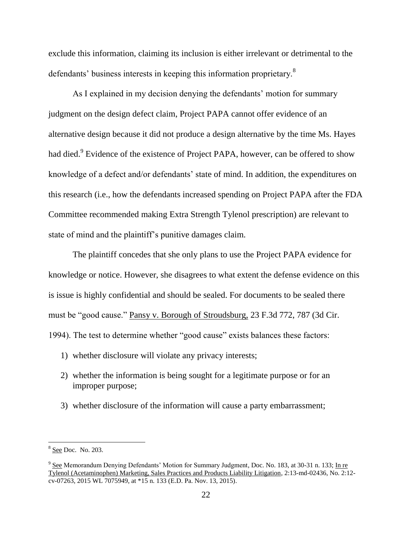exclude this information, claiming its inclusion is either irrelevant or detrimental to the defendants' business interests in keeping this information proprietary.<sup>8</sup>

As I explained in my decision denying the defendants' motion for summary judgment on the design defect claim, Project PAPA cannot offer evidence of an alternative design because it did not produce a design alternative by the time Ms. Hayes had died.<sup>9</sup> Evidence of the existence of Project PAPA, however, can be offered to show knowledge of a defect and/or defendants' state of mind. In addition, the expenditures on this research (i.e., how the defendants increased spending on Project PAPA after the FDA Committee recommended making Extra Strength Tylenol prescription) are relevant to state of mind and the plaintiff's punitive damages claim.

The plaintiff concedes that she only plans to use the Project PAPA evidence for knowledge or notice. However, she disagrees to what extent the defense evidence on this is issue is highly confidential and should be sealed. For documents to be sealed there must be "good cause." Pansy v. Borough of Stroudsburg, 23 F.3d 772, 787 (3d Cir. 1994). The test to determine whether "good cause" exists balances these factors:

- 1) whether disclosure will violate any privacy interests;
- 2) whether the information is being sought for a legitimate purpose or for an improper purpose;
- 3) whether disclosure of the information will cause a party embarrassment;

 $\overline{a}$ 

<sup>&</sup>lt;sup>8</sup> See Doc. No. 203.

<sup>&</sup>lt;sup>9</sup> See Memorandum Denying Defendants' Motion for Summary Judgment, Doc. No. 183, at 30-31 n. 133; In re [Tylenol \(Acetaminophen\) Marketing, Sales Practices and Products Liability Litigation,](https://1.next.westlaw.com/Document/I78239b708c2b11e595f799cc3c3ba45b/View/FullText.html?listSource=Search&navigationPath=Search%2fv3%2fsearch%2fresults%2fnavigation%2fi0ad60405000001551238778bae284757%3fNav%3dCASE%26fragmentIdentifier%3dI78239b708c2b11e595f799cc3c3ba45b%26startIndex%3d1%26contextData%3d%2528sc.Search%2529%26transitionType%3dSearchItem&list=CASE&rank=1&listPageSource=5756c0e9641229b30cdbbfc99c6af3ef&originationContext=docHeader&contextData=(sc.Search)&transitionType=Document&needToInjectTerms=False&docSource=5ac44efabce041f19bcd1ea38d0f8d11) 2:13-md-02436, No. 2:12 cv-07263, 2015 WL 7075949, at \*15 n. 133 (E.D. Pa. Nov. 13, 2015).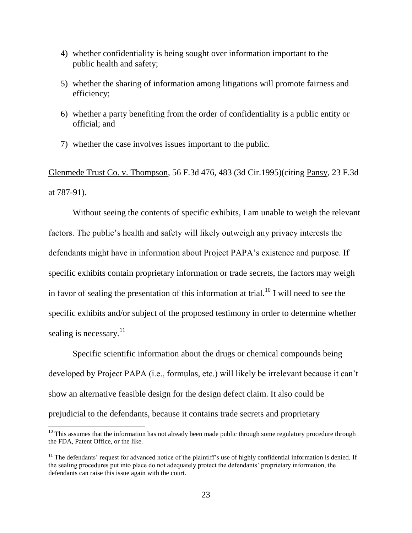- 4) whether confidentiality is being sought over information important to the public health and safety;
- 5) whether the sharing of information among litigations will promote fairness and efficiency;
- 6) whether a party benefiting from the order of confidentiality is a public entity or official; and
- 7) whether the case involves issues important to the public.

Glenmede Trust Co. v. Thompson, 56 F.3d 476, 483 (3d Cir.1995)(citing Pansy, 23 F.3d at 787-91).

Without seeing the contents of specific exhibits, I am unable to weigh the relevant factors. The public's health and safety will likely outweigh any privacy interests the defendants might have in information about Project PAPA's existence and purpose. If specific exhibits contain proprietary information or trade secrets, the factors may weigh in favor of sealing the presentation of this information at trial.<sup>10</sup> I will need to see the specific exhibits and/or subject of the proposed testimony in order to determine whether sealing is necessary.<sup>11</sup>

Specific scientific information about the drugs or chemical compounds being developed by Project PAPA (i.e., formulas, etc.) will likely be irrelevant because it can't show an alternative feasible design for the design defect claim. It also could be prejudicial to the defendants, because it contains trade secrets and proprietary

 $\overline{\phantom{a}}$ 

 $10$  This assumes that the information has not already been made public through some regulatory procedure through the FDA, Patent Office, or the like.

 $11$  The defendants' request for advanced notice of the plaintiff's use of highly confidential information is denied. If the sealing procedures put into place do not adequately protect the defendants' proprietary information, the defendants can raise this issue again with the court.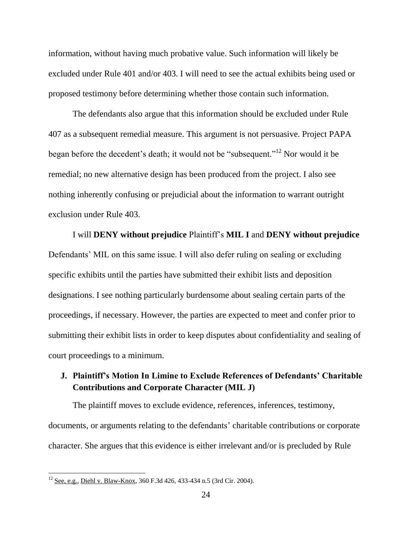information, without having much probative value. Such information will likely be excluded under Rule 401 and/or 403. I will need to see the actual exhibits being used or proposed testimony before determining whether those contain such information.

The defendants also argue that this information should be excluded under Rule 407 as a subsequent remedial measure. This argument is not persuasive. Project PAPA began before the decedent's death; it would not be "subsequent."<sup>12</sup> Nor would it be remedial; no new alternative design has been produced from the project. I also see nothing inherently confusing or prejudicial about the information to warrant outright exclusion under Rule 403.

I will **DENY without prejudice** Plaintiff's **MIL I** and **DENY without prejudice**  Defendants' MIL on this same issue. I will also defer ruling on sealing or excluding specific exhibits until the parties have submitted their exhibit lists and deposition designations. I see nothing particularly burdensome about sealing certain parts of the proceedings, if necessary. However, the parties are expected to meet and confer prior to submitting their exhibit lists in order to keep disputes about confidentiality and sealing of court proceedings to a minimum.

#### **J. Plaintiff's Motion In Limine to Exclude References of Defendants' Charitable Contributions and Corporate Character (MIL J)**

The plaintiff moves to exclude evidence, references, inferences, testimony, documents, or arguments relating to the defendants' charitable contributions or corporate character. She argues that this evidence is either irrelevant and/or is precluded by Rule

 $\overline{\phantom{a}}$ 

<sup>12</sup> See, e.g., Diehl v. Blaw-Knox, 360 F.3d 426, 433-434 n.5 (3rd Cir. 2004).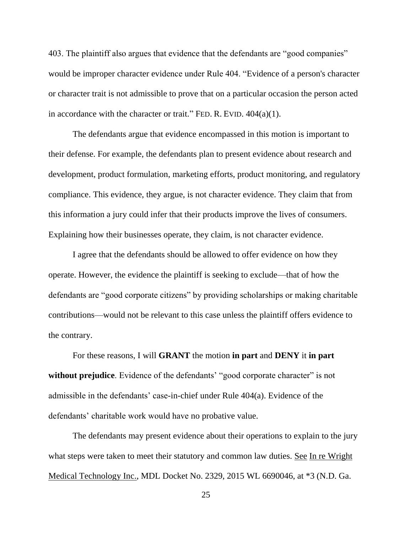403. The plaintiff also argues that evidence that the defendants are "good companies" would be improper character evidence under Rule 404. "Evidence of a person's character or character trait is not admissible to prove that on a particular occasion the person acted in accordance with the character or trait." FED. R. EVID.  $404(a)(1)$ .

The defendants argue that evidence encompassed in this motion is important to their defense. For example, the defendants plan to present evidence about research and development, product formulation, marketing efforts, product monitoring, and regulatory compliance. This evidence, they argue, is not character evidence. They claim that from this information a jury could infer that their products improve the lives of consumers. Explaining how their businesses operate, they claim, is not character evidence.

I agree that the defendants should be allowed to offer evidence on how they operate. However, the evidence the plaintiff is seeking to exclude—that of how the defendants are "good corporate citizens" by providing scholarships or making charitable contributions—would not be relevant to this case unless the plaintiff offers evidence to the contrary.

For these reasons, I will **GRANT** the motion **in part** and **DENY** it **in part** without prejudice. Evidence of the defendants' "good corporate character" is not admissible in the defendants' case-in-chief under Rule 404(a). Evidence of the defendants' charitable work would have no probative value.

The defendants may present evidence about their operations to explain to the jury what steps were taken to meet their statutory and common law duties. See In re Wright Medical Technology Inc., MDL Docket No. 2329, 2015 WL 6690046, at \*3 (N.D. Ga.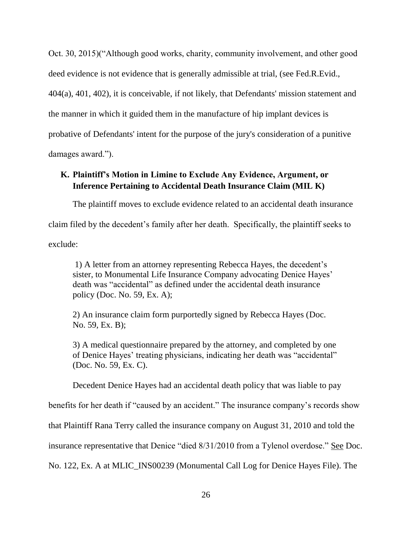Oct. 30, 2015)("Although good works, charity, community involvement, and other good deed evidence is not evidence that is generally admissible at trial, (see Fed.R.Evid., 404(a), 401, 402), it is conceivable, if not likely, that Defendants' mission statement and the manner in which it guided them in the manufacture of hip implant devices is probative of Defendants' intent for the purpose of the jury's consideration of a punitive damages award.").

#### **K. Plaintiff's Motion in Limine to Exclude Any Evidence, Argument, or Inference Pertaining to Accidental Death Insurance Claim (MIL K)**

The plaintiff moves to exclude evidence related to an accidental death insurance claim filed by the decedent's family after her death. Specifically, the plaintiff seeks to exclude:

1) A letter from an attorney representing Rebecca Hayes, the decedent's sister, to Monumental Life Insurance Company advocating Denice Hayes' death was "accidental" as defined under the accidental death insurance policy (Doc. No. 59, Ex. A);

2) An insurance claim form purportedly signed by Rebecca Hayes (Doc. No. 59, Ex. B);

3) A medical questionnaire prepared by the attorney, and completed by one of Denice Hayes' treating physicians, indicating her death was "accidental" (Doc. No. 59, Ex. C).

Decedent Denice Hayes had an accidental death policy that was liable to pay

benefits for her death if "caused by an accident." The insurance company's records show

that Plaintiff Rana Terry called the insurance company on August 31, 2010 and told the

insurance representative that Denice "died 8/31/2010 from a Tylenol overdose." See Doc.

No. 122, Ex. A at MLIC\_INS00239 (Monumental Call Log for Denice Hayes File). The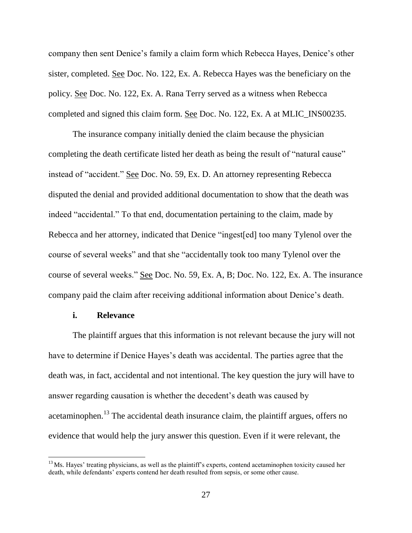company then sent Denice's family a claim form which Rebecca Hayes, Denice's other sister, completed. See Doc. No. 122, Ex. A. Rebecca Hayes was the beneficiary on the policy. See Doc. No. 122, Ex. A. Rana Terry served as a witness when Rebecca completed and signed this claim form. See Doc. No. 122, Ex. A at MLIC\_INS00235.

The insurance company initially denied the claim because the physician completing the death certificate listed her death as being the result of "natural cause" instead of "accident." See Doc. No. 59, Ex. D. An attorney representing Rebecca disputed the denial and provided additional documentation to show that the death was indeed "accidental." To that end, documentation pertaining to the claim, made by Rebecca and her attorney, indicated that Denice "ingest[ed] too many Tylenol over the course of several weeks" and that she "accidentally took too many Tylenol over the course of several weeks." See Doc. No. 59, Ex. A, B; Doc. No. 122, Ex. A. The insurance company paid the claim after receiving additional information about Denice's death.

#### **i. Relevance**

 $\overline{\phantom{a}}$ 

The plaintiff argues that this information is not relevant because the jury will not have to determine if Denice Hayes's death was accidental. The parties agree that the death was, in fact, accidental and not intentional. The key question the jury will have to answer regarding causation is whether the decedent's death was caused by acetaminophen.<sup>13</sup> The accidental death insurance claim, the plaintiff argues, offers no evidence that would help the jury answer this question. Even if it were relevant, the

 $<sup>13</sup>$  Ms. Hayes' treating physicians, as well as the plaintiff's experts, contend acetaminophen toxicity caused her</sup> death, while defendants' experts contend her death resulted from sepsis, or some other cause.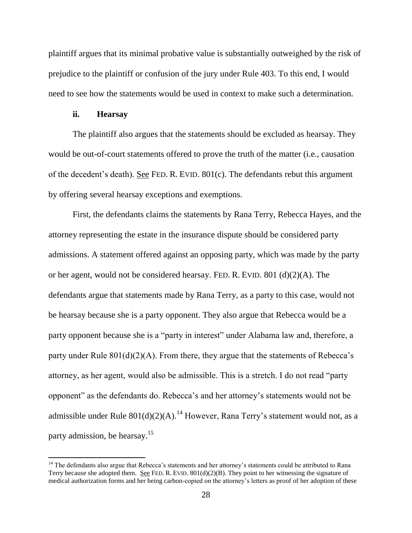plaintiff argues that its minimal probative value is substantially outweighed by the risk of prejudice to the plaintiff or confusion of the jury under Rule 403. To this end, I would need to see how the statements would be used in context to make such a determination.

#### **ii. Hearsay**

 $\overline{\phantom{a}}$ 

The plaintiff also argues that the statements should be excluded as hearsay. They would be out-of-court statements offered to prove the truth of the matter (i.e., causation of the decedent's death). See FED. R. EVID. 801(c). The defendants rebut this argument by offering several hearsay exceptions and exemptions.

First, the defendants claims the statements by Rana Terry, Rebecca Hayes, and the attorney representing the estate in the insurance dispute should be considered party admissions. A statement offered against an opposing party, which was made by the party or her agent, would not be considered hearsay. FED. R. EVID. 801 (d)(2)(A). The defendants argue that statements made by Rana Terry, as a party to this case, would not be hearsay because she is a party opponent. They also argue that Rebecca would be a party opponent because she is a "party in interest" under Alabama law and, therefore, a party under Rule  $801(d)(2)(A)$ . From there, they argue that the statements of Rebecca's attorney, as her agent, would also be admissible. This is a stretch. I do not read "party opponent" as the defendants do. Rebecca's and her attorney's statements would not be admissible under Rule  $801(d)(2)(A)$ .<sup>14</sup> However, Rana Terry's statement would not, as a party admission, be hearsay.<sup>15</sup>

<sup>&</sup>lt;sup>14</sup> The defendants also argue that Rebecca's statements and her attorney's statements could be attributed to Rana Terry because she adopted them. See FED. R. EVID.  $801(d)(2)(B)$ . They point to her witnessing the signature of medical authorization forms and her being carbon-copied on the attorney's letters as proof of her adoption of these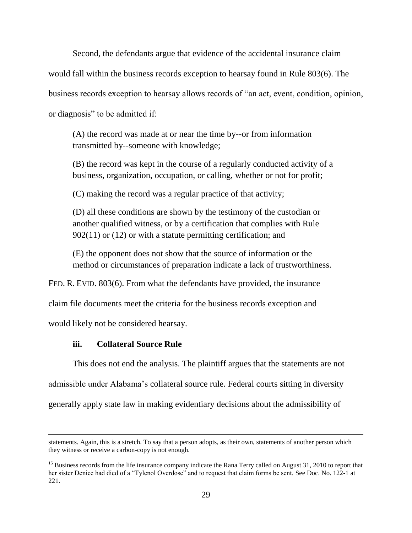Second, the defendants argue that evidence of the accidental insurance claim would fall within the business records exception to hearsay found in Rule 803(6). The business records exception to hearsay allows records of "an act, event, condition, opinion, or diagnosis" to be admitted if:

(A) the record was made at or near the time by--or from information transmitted by--someone with knowledge;

(B) the record was kept in the course of a regularly conducted activity of a business, organization, occupation, or calling, whether or not for profit;

(C) making the record was a regular practice of that activity;

(D) all these conditions are shown by the testimony of the custodian or another qualified witness, or by a certification that complies with Rule 902(11) or (12) or with a statute permitting certification; and

(E) the opponent does not show that the source of information or the method or circumstances of preparation indicate a lack of trustworthiness.

FED. R. EVID. 803(6). From what the defendants have provided, the insurance

claim file documents meet the criteria for the business records exception and

would likely not be considered hearsay.

l

#### **iii. Collateral Source Rule**

This does not end the analysis. The plaintiff argues that the statements are not admissible under Alabama's collateral source rule. Federal courts sitting in diversity generally apply state law in making evidentiary decisions about the admissibility of

statements. Again, this is a stretch. To say that a person adopts, as their own, statements of another person which they witness or receive a carbon-copy is not enough.

<sup>&</sup>lt;sup>15</sup> Business records from the life insurance company indicate the Rana Terry called on August 31, 2010 to report that her sister Denice had died of a "Tylenol Overdose" and to request that claim forms be sent. See Doc. No. 122-1 at 221.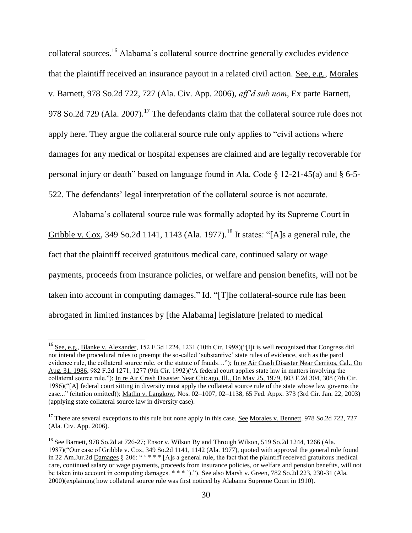collateral sources.<sup>16</sup> Alabama's collateral source doctrine generally excludes evidence that the plaintiff received an insurance payout in a related civil action. See, e.g., Morales v. Barnett, 978 So.2d 722, 727 (Ala. Civ. App. 2006), *aff'd sub nom*, Ex parte Barnett, 978 So.2d 729 (Ala. 2007).<sup>17</sup> The defendants claim that the collateral source rule does not apply here. They argue the collateral source rule only applies to "civil actions where damages for any medical or hospital expenses are claimed and are legally recoverable for personal injury or death" based on language found in Ala. Code § 12-21-45(a) and § 6-5- 522. The defendants' legal interpretation of the collateral source is not accurate.

Alabama's collateral source rule was formally adopted by its Supreme Court in Gribble v. Cox, 349 So.2d 1141, 1143 (Ala. 1977).<sup>18</sup> It states: "[A]s a general rule, the fact that the plaintiff received gratuitous medical care, continued salary or wage payments, proceeds from insurance policies, or welfare and pension benefits, will not be taken into account in computing damages." Id. "[T]he collateral-source rule has been abrogated in limited instances by [the Alabama] legislature [related to medical

l

<sup>&</sup>lt;sup>16</sup> See, e.g., Blanke v. Alexander, 152 F.3d 1224, 1231 (10th Cir. 1998)("[I]t is well recognized that Congress did not intend the procedural rules to preempt the so-called 'substantive' state rules of evidence, such as the parol evidence rule, the collateral source rule, or the statute of frauds..."); In re Air Crash Disaster Near Cerritos, Cal., On Aug. 31, 1986, 982 F.2d 1271, 1277 (9th Cir. 1992)("A federal court applies state law in matters involving the collateral source rule."); In re Air Crash Disaster Near Chicago, Ill., On May 25, 1979, 803 F.2d 304, 308 (7th Cir. 1986)("[A] federal court sitting in diversity must apply the collateral source rule of the state whose law governs the case..." (citation omitted)); Matlin v. Langkow, Nos. 02–1007, 02–1138, 65 Fed. Appx. 373 (3rd Cir. Jan. 22, 2003) (applying state collateral source law in diversity case).

 $17$  There are several exceptions to this rule but none apply in this case. See Morales v. Bennett, 978 So.2d 722, 727 (Ala. Civ. App. 2006).

<sup>&</sup>lt;sup>18</sup> See Barnett, 978 So.2d at 726-27; Ensor v. Wilson By and Through Wilson, 519 So.2d 1244, 1266 (Ala. 1987)("Our case of Gribble v. Cox, 349 So.2d 1141, 1142 (Ala. 1977), quoted with approval the general rule found in 22 Am.Jur.2d Damages § 206: " ' \* \* \* [A]s a general rule, the fact that the plaintiff received gratuitous medical care, continued salary or wage payments, proceeds from insurance policies, or welfare and pension benefits, will not be taken into account in computing damages. \*\*\* ')."). See also Marsh v. Green, 782 So.2d 223, 230-31 (Ala. 2000)(explaining how collateral source rule was first noticed by Alabama Supreme Court in 1910).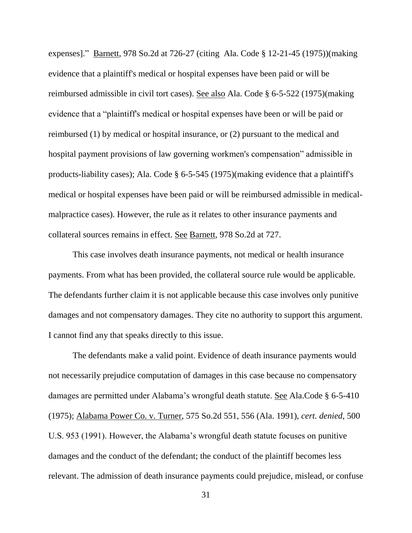expenses]." Barnett, 978 So.2d at 726-27 (citing Ala. Code § 12-21-45 (1975))(making evidence that a plaintiff's medical or hospital expenses have been paid or will be reimbursed admissible in civil tort cases). See also Ala. Code § 6-5-522 (1975)(making evidence that a "plaintiff's medical or hospital expenses have been or will be paid or reimbursed (1) by medical or hospital insurance, or (2) pursuant to the medical and hospital payment provisions of law governing workmen's compensation" admissible in products-liability cases); Ala. Code § 6-5-545 (1975)(making evidence that a plaintiff's medical or hospital expenses have been paid or will be reimbursed admissible in medicalmalpractice cases). However, the rule as it relates to other insurance payments and collateral sources remains in effect. See Barnett, 978 So.2d at 727.

This case involves death insurance payments, not medical or health insurance payments. From what has been provided, the collateral source rule would be applicable. The defendants further claim it is not applicable because this case involves only punitive damages and not compensatory damages. They cite no authority to support this argument. I cannot find any that speaks directly to this issue.

The defendants make a valid point. Evidence of death insurance payments would not necessarily prejudice computation of damages in this case because no compensatory damages are permitted under Alabama's wrongful death statute. See Ala.Code § 6-5-410 (1975); Alabama Power Co. v. Turner, 575 So.2d 551, 556 (Ala. 1991), *cert. denied*, 500 U.S. 953 (1991). However, the Alabama's wrongful death statute focuses on punitive damages and the conduct of the defendant; the conduct of the plaintiff becomes less relevant. The admission of death insurance payments could prejudice, mislead, or confuse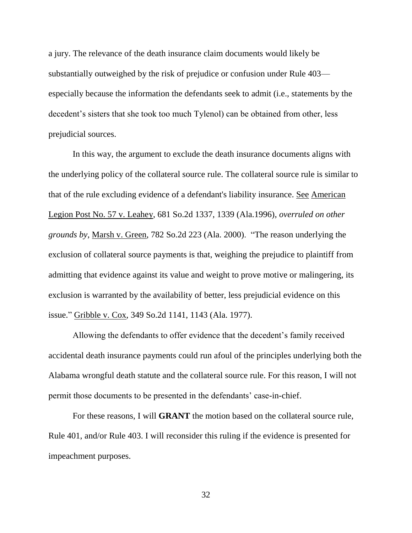a jury. The relevance of the death insurance claim documents would likely be substantially outweighed by the risk of prejudice or confusion under Rule 403 especially because the information the defendants seek to admit (i.e., statements by the decedent's sisters that she took too much Tylenol) can be obtained from other, less prejudicial sources.

In this way, the argument to exclude the death insurance documents aligns with the underlying policy of the collateral source rule. The collateral source rule is similar to that of the rule excluding evidence of a defendant's liability insurance. See American Legion Post No. 57 v. Leahey, 681 So.2d 1337, 1339 (Ala.1996), *overruled on other grounds by*, Marsh v. Green, 782 So.2d 223 (Ala. 2000). "The reason underlying the exclusion of collateral source payments is that, weighing the prejudice to plaintiff from admitting that evidence against its value and weight to prove motive or malingering, its exclusion is warranted by the availability of better, less prejudicial evidence on this issue." Gribble v. Cox, 349 So.2d 1141, 1143 (Ala. 1977).

Allowing the defendants to offer evidence that the decedent's family received accidental death insurance payments could run afoul of the principles underlying both the Alabama wrongful death statute and the collateral source rule. For this reason, I will not permit those documents to be presented in the defendants' case-in-chief.

For these reasons, I will **GRANT** the motion based on the collateral source rule, Rule 401, and/or Rule 403. I will reconsider this ruling if the evidence is presented for impeachment purposes.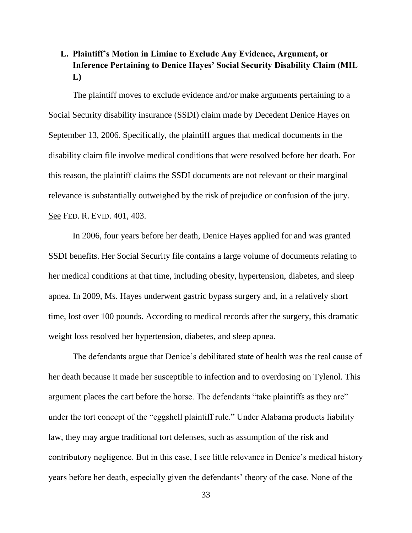# **L. Plaintiff's Motion in Limine to Exclude Any Evidence, Argument, or Inference Pertaining to Denice Hayes' Social Security Disability Claim (MIL L)**

The plaintiff moves to exclude evidence and/or make arguments pertaining to a Social Security disability insurance (SSDI) claim made by Decedent Denice Hayes on September 13, 2006. Specifically, the plaintiff argues that medical documents in the disability claim file involve medical conditions that were resolved before her death. For this reason, the plaintiff claims the SSDI documents are not relevant or their marginal relevance is substantially outweighed by the risk of prejudice or confusion of the jury. See FED. R. EVID. 401, 403.

In 2006, four years before her death, Denice Hayes applied for and was granted SSDI benefits. Her Social Security file contains a large volume of documents relating to her medical conditions at that time, including obesity, hypertension, diabetes, and sleep apnea. In 2009, Ms. Hayes underwent gastric bypass surgery and, in a relatively short time, lost over 100 pounds. According to medical records after the surgery, this dramatic weight loss resolved her hypertension, diabetes, and sleep apnea.

The defendants argue that Denice's debilitated state of health was the real cause of her death because it made her susceptible to infection and to overdosing on Tylenol. This argument places the cart before the horse. The defendants "take plaintiffs as they are" under the tort concept of the "eggshell plaintiff rule." Under Alabama products liability law, they may argue traditional tort defenses, such as assumption of the risk and contributory negligence. But in this case, I see little relevance in Denice's medical history years before her death, especially given the defendants' theory of the case. None of the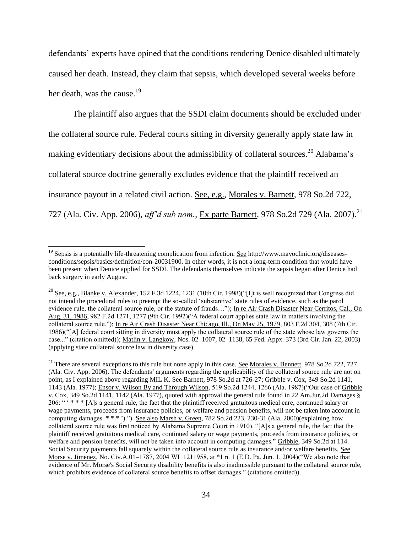defendants' experts have opined that the conditions rendering Denice disabled ultimately caused her death. Instead, they claim that sepsis, which developed several weeks before her death, was the cause.<sup>19</sup>

The plaintiff also argues that the SSDI claim documents should be excluded under the collateral source rule. Federal courts sitting in diversity generally apply state law in making evidentiary decisions about the admissibility of collateral sources.<sup>20</sup> Alabama's collateral source doctrine generally excludes evidence that the plaintiff received an insurance payout in a related civil action. See, e.g., Morales v. Barnett, 978 So.2d 722, 727 (Ala. Civ. App. 2006), *aff'd sub nom.*, Ex parte Barnett, 978 So.2d 729 (Ala. 2007).<sup>21</sup>

 $\overline{a}$ 

<sup>&</sup>lt;sup>19</sup> Sepsis is a potentially life-threatening complication from infection. <u>See</u> http://www.mayoclinic.org/diseasesconditions/sepsis/basics/definition/con-20031900. In other words, it is not a long-term condition that would have been present when Denice applied for SSDI. The defendants themselves indicate the sepsis began after Denice had back surgery in early August.

<sup>&</sup>lt;sup>20</sup> See, e.g., Blanke v. Alexander, 152 F.3d 1224, 1231 (10th Cir. 1998)("[I]t is well recognized that Congress did not intend the procedural rules to preempt the so-called 'substantive' state rules of evidence, such as the parol evidence rule, the collateral source rule, or the statute of frauds…"); In re Air Crash Disaster Near Cerritos, Cal., On Aug. 31, 1986, 982 F.2d 1271, 1277 (9th Cir. 1992)("A federal court applies state law in matters involving the collateral source rule."); In re Air Crash Disaster Near Chicago, Ill., On May 25, 1979, 803 F.2d 304, 308 (7th Cir. 1986)("[A] federal court sitting in diversity must apply the collateral source rule of the state whose law governs the case..." (citation omitted)); Matlin v. Langkow, Nos. 02–1007, 02–1138, 65 Fed. Appx. 373 (3rd Cir. Jan. 22, 2003) (applying state collateral source law in diversity case).

<sup>&</sup>lt;sup>21</sup> There are several exceptions to this rule but none apply in this case. <u>See Morales v. Bennett</u>, 978 So.2d 722, 727 (Ala. Civ. App. 2006). The defendants' arguments regarding the applicability of the collateral source rule are not on point, as I explained above regarding MIL K. See Barnett, 978 So.2d at 726-27; Gribble v. Cox, 349 So.2d 1141, 1143 (Ala. 1977); Ensor v. Wilson By and Through Wilson, 519 So.2d 1244, 1266 (Ala. 1987)("Our case of Gribble v. Cox, 349 So.2d 1141, 1142 (Ala. 1977), quoted with approval the general rule found in 22 Am.Jur.2d Damages § 206: " ' \* \* \* [A]s a general rule, the fact that the plaintiff received gratuitous medical care, continued salary or wage payments, proceeds from insurance policies, or welfare and pension benefits, will not be taken into account in computing damages. \* \* \* ')."). See also Marsh v. Green, 782 So.2d 223, 230-31 (Ala. 2000)(explaining how collateral source rule was first noticed by Alabama Supreme Court in 1910). "[A]s a general rule, the fact that the plaintiff received gratuitous medical care, continued salary or wage payments, proceeds from insurance policies, or welfare and pension benefits, will not be taken into account in computing damages." Gribble, 349 So.2d at 114. Social Security payments fall squarely within the collateral source rule as insurance and/or welfare benefits. See Morse v. Jimenez, No. Civ.A.01–1787, 2004 WL 1211958, at \*1 n. 1 (E.D. Pa. Jun. 1, 2004)("We also note that evidence of Mr. Morse's Social Security disability benefits is also inadmissible pursuant to the collateral source rule, which prohibits evidence of collateral source benefits to offset damages." (citations omitted)).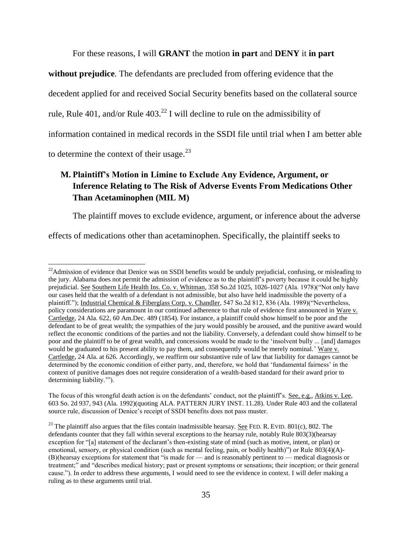For these reasons, I will **GRANT** the motion **in part** and **DENY** it **in part** 

**without prejudice**. The defendants are precluded from offering evidence that the

decedent applied for and received Social Security benefits based on the collateral source

rule, Rule 401, and/or Rule  $403<sup>22</sup>$  I will decline to rule on the admissibility of

information contained in medical records in the SSDI file until trial when I am better able

to determine the context of their usage. $^{23}$ 

 $\overline{\phantom{a}}$ 

# **M. Plaintiff's Motion in Limine to Exclude Any Evidence, Argument, or Inference Relating to The Risk of Adverse Events From Medications Other Than Acetaminophen (MIL M)**

The plaintiff moves to exclude evidence, argument, or inference about the adverse

effects of medications other than acetaminophen. Specifically, the plaintiff seeks to

 $22$ Admission of evidence that Denice was on SSDI benefits would be unduly prejudicial, confusing, or misleading to the jury. Alabama does not permit the admission of evidence as to the plaintiff's poverty because it could be highly prejudicial. See Southern Life Health Ins. Co. v. Whitman, 358 So.2d 1025, 1026-1027 (Ala. 1978)("Not only have our cases held that the wealth of a defendant is not admissible, but also have held inadmissible the poverty of a plaintiff."); Industrial Chemical & Fiberglass Corp. v. Chandler, 547 So.2d 812, 836 (Ala. 1989)("Nevertheless, policy considerations are paramount in our continued adherence to that rule of evidence first announced in Ware v. Cartledge, 24 Ala. 622, 60 Am.Dec. 489 (1854). For instance, a plaintiff could show himself to be poor and the defendant to be of great wealth; the sympathies of the jury would possibly be aroused, and the punitive award would reflect the economic conditions of the parties and not the liability. Conversely, a defendant could show himself to be poor and the plaintiff to be of great wealth, and concessions would be made to the 'insolvent bully ... [and] damages would be graduated to his present ability to pay them, and consequently would be merely nominal.' Ware v. Cartledge, 24 Ala. at 626. Accordingly, we reaffirm our substantive rule of law that liability for damages cannot be determined by the economic condition of either party, and, therefore, we hold that 'fundamental fairness' in the context of punitive damages does not require consideration of a wealth-based standard for their award prior to determining liability.'").

The focus of this wrongful death action is on the defendants' conduct, not the plaintiff's. See, e.g., Atkins v. Lee, 603 So. 2d 937, 943 (Ala. 1992)(quoting ALA. PATTERN JURY INST. 11.28). Under Rule 403 and the collateral source rule, discussion of Denice's receipt of SSDI benefits does not pass muster.

<sup>&</sup>lt;sup>23</sup> The plaintiff also argues that the files contain inadmissible hearsay. <u>See</u> FED. R. EVID. 801(c), 802. The defendants counter that they fall within several exceptions to the hearsay rule, notably Rule 803(3)(hearsay exception for "[a] statement of the declarant's then-existing state of mind (such as motive, intent, or plan) or emotional, sensory, or physical condition (such as mental feeling, pain, or bodily health)") or Rule 803(4)(A)- (B)(hearsay exceptions for statement that "is made for — and is reasonably pertinent to — medical diagnosis or treatment;" and "describes medical history; past or present symptoms or sensations; their inception; or their general cause."). In order to address these arguments, I would need to see the evidence in context. I will defer making a ruling as to these arguments until trial.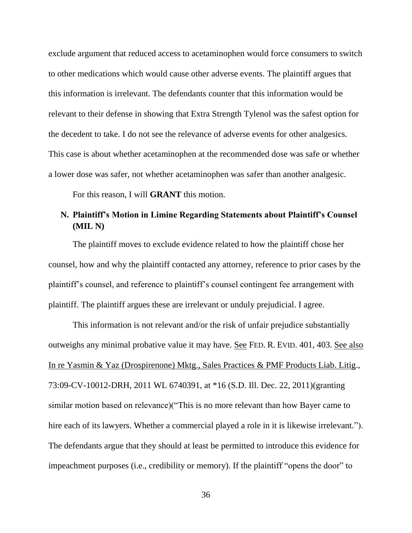exclude argument that reduced access to acetaminophen would force consumers to switch to other medications which would cause other adverse events. The plaintiff argues that this information is irrelevant. The defendants counter that this information would be relevant to their defense in showing that Extra Strength Tylenol was the safest option for the decedent to take. I do not see the relevance of adverse events for other analgesics. This case is about whether acetaminophen at the recommended dose was safe or whether a lower dose was safer, not whether acetaminophen was safer than another analgesic.

For this reason, I will **GRANT** this motion.

#### **N. Plaintiff's Motion in Limine Regarding Statements about Plaintiff's Counsel (MIL N)**

The plaintiff moves to exclude evidence related to how the plaintiff chose her counsel, how and why the plaintiff contacted any attorney, reference to prior cases by the plaintiff's counsel, and reference to plaintiff's counsel contingent fee arrangement with plaintiff. The plaintiff argues these are irrelevant or unduly prejudicial. I agree.

This information is not relevant and/or the risk of unfair prejudice substantially outweighs any minimal probative value it may have. See FED. R. EVID. 401, 403. See also In re Yasmin & Yaz (Drospirenone) Mktg., Sales Practices & PMF Products Liab. Litig., 73:09-CV-10012-DRH, 2011 WL 6740391, at \*16 (S.D. Ill. Dec. 22, 2011)(granting similar motion based on relevance)("This is no more relevant than how Bayer came to hire each of its lawyers. Whether a commercial played a role in it is likewise irrelevant."). The defendants argue that they should at least be permitted to introduce this evidence for impeachment purposes (i.e., credibility or memory). If the plaintiff "opens the door" to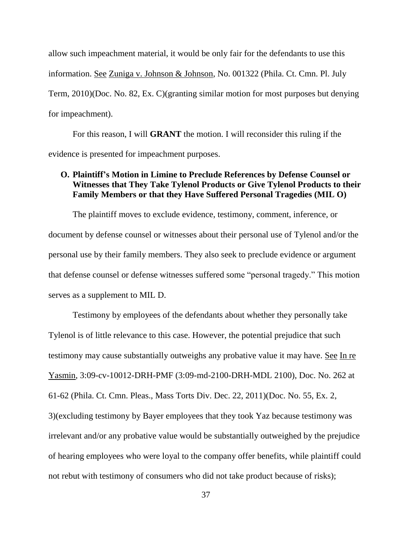allow such impeachment material, it would be only fair for the defendants to use this information. See Zuniga v. Johnson & Johnson, No. 001322 (Phila. Ct. Cmn. Pl. July Term, 2010)(Doc. No. 82, Ex. C)(granting similar motion for most purposes but denying for impeachment).

For this reason, I will **GRANT** the motion. I will reconsider this ruling if the evidence is presented for impeachment purposes.

#### **O. Plaintiff's Motion in Limine to Preclude References by Defense Counsel or Witnesses that They Take Tylenol Products or Give Tylenol Products to their Family Members or that they Have Suffered Personal Tragedies (MIL O)**

The plaintiff moves to exclude evidence, testimony, comment, inference, or document by defense counsel or witnesses about their personal use of Tylenol and/or the personal use by their family members. They also seek to preclude evidence or argument that defense counsel or defense witnesses suffered some "personal tragedy." This motion serves as a supplement to MIL D.

Testimony by employees of the defendants about whether they personally take Tylenol is of little relevance to this case. However, the potential prejudice that such testimony may cause substantially outweighs any probative value it may have. See In re Yasmin, 3:09-cv-10012-DRH-PMF (3:09-md-2100-DRH-MDL 2100), Doc. No. 262 at 61-62 (Phila. Ct. Cmn. Pleas., Mass Torts Div. Dec. 22, 2011)(Doc. No. 55, Ex. 2, 3)(excluding testimony by Bayer employees that they took Yaz because testimony was irrelevant and/or any probative value would be substantially outweighed by the prejudice of hearing employees who were loyal to the company offer benefits, while plaintiff could not rebut with testimony of consumers who did not take product because of risks);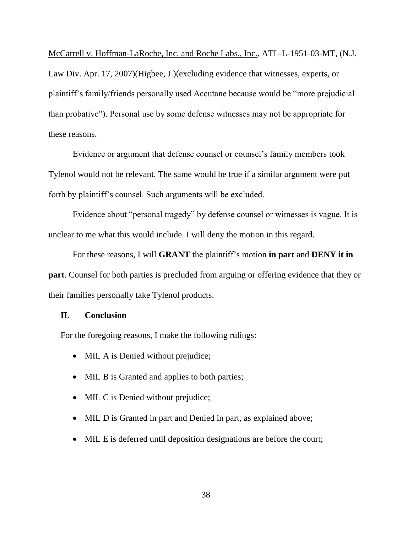McCarrell v. Hoffman-LaRoche, Inc. and Roche Labs., Inc., ATL-L-1951-03-MT, (N.J. Law Div. Apr. 17, 2007)(Higbee, J.)(excluding evidence that witnesses, experts, or plaintiff's family/friends personally used Accutane because would be "more prejudicial than probative"). Personal use by some defense witnesses may not be appropriate for these reasons.

Evidence or argument that defense counsel or counsel's family members took Tylenol would not be relevant. The same would be true if a similar argument were put forth by plaintiff's counsel. Such arguments will be excluded.

Evidence about "personal tragedy" by defense counsel or witnesses is vague. It is unclear to me what this would include. I will deny the motion in this regard.

For these reasons, I will **GRANT** the plaintiff's motion **in part** and **DENY it in part**. Counsel for both parties is precluded from arguing or offering evidence that they or their families personally take Tylenol products.

#### **II. Conclusion**

For the foregoing reasons, I make the following rulings:

- MIL A is Denied without prejudice;
- MIL B is Granted and applies to both parties;
- MIL C is Denied without prejudice;
- MIL D is Granted in part and Denied in part, as explained above;
- MIL E is deferred until deposition designations are before the court;